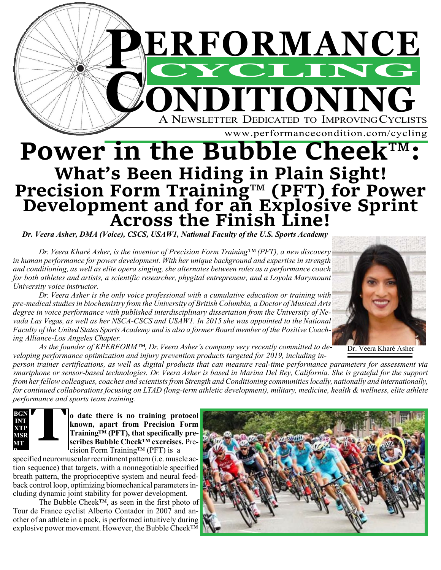

# **Power in the Bubble Cheek™: What's Been Hiding in Plain Sight! Precision Form Training™ (PFT) for Power Development and for an Explosive Sprint Across the Finish Line!**

*Dr. Veera Asher, DMA (Voice), CSCS, USAW1, National Faculty of the U.S. Sports Academy*

*Dr. Veera Kharé Asher, is the inventor of Precision Form Training™ (PFT), a new discovery in human performance for power development. With her unique background and expertise in strength and conditioning, as well as elite opera singing, she alternates between roles as a performance coach for both athletes and artists, a scientific researcher, phygital entrepreneur, and a Loyola Marymount University voice instructor.*

*Dr. Veera Asher is the only voice professional with a cumulative education or training with pre-medicalstudiesin biochemistry from the University of British Columbia, a Doctor of Musical Arts degree in voice performance with published interdisciplinary dissertation from the University of Ne*vada Las Vegas, as well as her NSCA-CSCS and USAW1. In 2015 she was appointed to the National Faculty of the United States Sports Academy and is also a former Board member of the Positive Coach*ing Alliance-Los Angeles Chapter.*

*As the founder of KPERFORM™, Dr. Veera Asher's company very recently committed to de-As the founder of KPERFORM<sup>1M</sup>, Dr. Veera Asher's company very recently committed to de-* Dr. Veera Kharé Asher<br>veloping performance optimization and injury prevention products targeted for 2019, including in-

*person trainer certifications, as well as digital products that can measure real-time performance parameters for assessment via smartphone or sensor-based technologies. Dr. Veera Asher is based in Marina Del Rey, California. She is grateful for the support from herfellow colleagues, coaches and scientistsfrom Strength and Conditioning communitieslocally, nationally and internationally,*  for continued collaborations focusing on LTAD (long-term athletic development), military, medicine, health & wellness, elite athlete *performance and sports team training.*

**BGN MT B MSR XTP ISON**<br> **INT**<br> **INT**<br> **INTER**<br> **INT**<br> **INT** 

**o date there is no training protocol known, apart from Precision Form Training™ (PFT), that specifically prescribes Bubble Cheek™ exercises.** Precision Form Training™ (PFT) is a

specified neuromuscular recruitment pattern (i.e. muscle action sequence) that targets, with a nonnegotiable specified breath pattern, the proprioceptive system and neural feedback control loop, optimizing biomechanical parameters including dynamic joint stability for power development.

The Bubble Cheek™, as seen in the first photo of Tour de France cyclist Alberto Contador in 2007 and another of an athlete in a pack, is performed intuitively during explosive power movement. However, the Bubble Cheek™

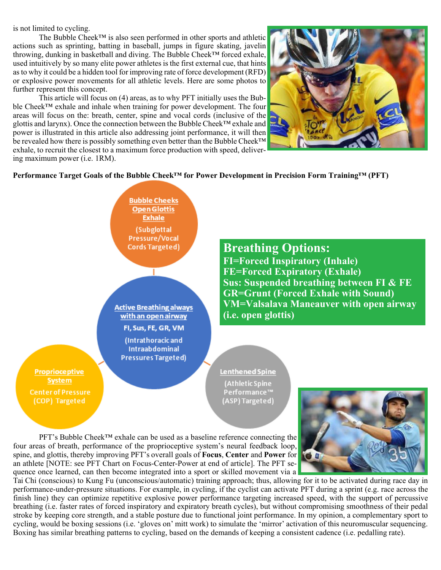is not limited to cycling.

The Bubble Cheek™ is also seen performed in other sports and athletic actions such as sprinting, batting in baseball, jumps in figure skating, javelin throwing, dunking in basketball and diving. The Bubble Cheek™ forced exhale, used intuitively by so many elite power athletes is the first external cue, that hints asto why it could be a hidden tool for improving rate of force development (RFD) or explosive power movements for all athletic levels. Here are some photos to further represent this concept.

This article will focus on (4) areas, as to why PFT initially uses the Bubble Cheek™ exhale and inhale when training for power development. The four areas will focus on the: breath, center, spine and vocal cords (inclusive of the glottis and larynx). Once the connection between the Bubble Cheek™ exhale and power is illustrated in this article also addressing joint performance, it will then be revealed how there is possibly something even better than the Bubble Cheek™ exhale, to recruit the closest to a maximum force production with speed, delivering maximum power (i.e. 1RM).



# **Performance Target Goals of the Bubble Cheek™ for Power Development in Precision Form Training™ (PFT)**

**Bubble Cheeks Open Glottis Exhale** (Subglottal Pressure/Vocal **Breathing Options: Cords Targeted) FI=Forced Inspiratory (Inhale) FE=Forced Expiratory (Exhale)** т. **Sus: Suspended breathing between FI & FE GR=Grunt (Forced Exhale with Sound) VM=Valsalava Maneauver with open airway Active Breathing always (i.e. open glottis)**with an open airway FI, Sus, FE, GR, VM (Intrathoracic and **Intraabdominal Pressures Targeted) Proprioceptive** Lenthened Spine **System** (Athletic Spine **Center of Pressure** Performance™ (COP) Targeted (ASP) Targeted)

PFT's Bubble Cheek™ exhale can be used as a baseline reference connecting the four areas of breath, performance of the proprioceptive system's neural feedback loop, spine, and glottis, thereby improving PFT's overall goals of **Focus**, **Center** and **Power** for an athlete [NOTE: see PFT Chart on Focus-Center-Power at end of article]. The PFT sequence once learned, can then become integrated into a sport or skilled movement via a



Tai Chi (conscious) to Kung Fu (unconscious/automatic) training approach; thus, allowing for it to be activated during race day in performance-under-pressure situations. For example, in cycling, if the cyclist can activate PFT during a sprint (e.g. race across the finish line) they can optimize repetitive explosive power performance targeting increased speed, with the support of percussive breathing (i.e. faster rates of forced inspiratory and expiratory breath cycles), but without compromising smoothness of their pedal stroke by keeping core strength, and a stable posture due to functional joint performance. In my opinion, a complementary sport to cycling, would be boxing sessions (i.e. 'gloves on' mitt work) to simulate the 'mirror' activation of this neuromuscular sequencing. Boxing has similar breathing patterns to cycling, based on the demands of keeping a consistent cadence (i.e. pedalling rate).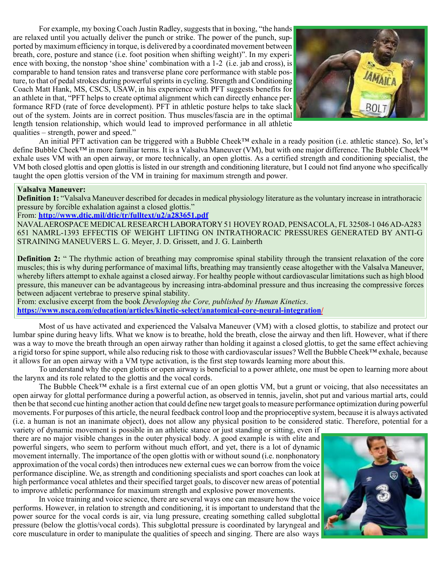For example, my boxing Coach Justin Radley, suggests that in boxing, "the hands are relaxed until you actually deliver the punch or strike. The power of the punch, supported by maximum efficiency in torque, is delivered by a coordinated movement between breath, core, posture and stance (i.e. foot position when shifting weight)". In my experience with boxing, the nonstop 'shoe shine' combination with a 1-2 (i.e. jab and cross), is comparable to hand tension rates and transverse plane core performance with stable posture, to that of pedal strokes during powerful sprints in cycling. Strength and Conditioning Coach Matt Hank, MS, CSCS, USAW, in his experience with PFT suggests benefits for an athlete in that, "PFT helps to create optimal alignment which can directly enhance performance RFD (rate of force development). PFT in athletic posture helps to take slack out of the system. Joints are in correct position. Thus muscles/fascia are in the optimal length tension relationship, which would lead to improved performance in all athletic qualities – strength, power and speed."



An initial PFT activation can be triggered with a Bubble Cheek™ exhale in a ready position (i.e. athletic stance). So, let's define Bubble Cheek™ in more familiar terms. It is a Valsalva Maneuver (VM), but with one major difference. The Bubble Cheek™ exhale uses VM with an open airway, or more technically, an open glottis. As a certified strength and conditioning specialist, the VM both closed glottis and open glottis is listed in our strength and conditioning literature, but I could not find anyone who specifically taught the open glottis version of the VM in training for maximum strength and power.

## **Valsalva Maneuver:**

**Definition 1:** "Valsalva Maneuver described for decades in medical physiology literature as the voluntary increase in intrathoracic pressure by forcible exhalation against a closed glottis."

# From: **<http://www.dtic.mil/dtic/tr/fulltext/u2/a283651.pdf>**

NAVALAEROSPACE MEDICALRESEARCH LABORATORY51 HOVEY ROAD, PENSACOLA, FL 32508-1 046AD-A283 651 NAMRL-1393 EFFECTIS OF WEIGHT LIFTING ON INTRATHORACIC PRESSURES GENERATED BY ANTI-G STRAINING MANEUVERS L. G. Meyer, J. D. Grissett, and J. G. Lainberth

**Definition 2:** " The rhythmic action of breathing may compromise spinal stability through the transient relaxation of the core muscles; this is why during performance of maximal lifts, breathing may transiently cease altogether with the Valsalva Maneuver, whereby lifters attempt to exhale against a closed airway. For healthy people without cardiovascular limitations such as high blood pressure, this maneuver can be advantageous by increasing intra-abdominal pressure and thus increasing the compressive forces between adjacent vertebrae to preserve spinal stability.

From: exclusive excerpt from the book *Developing the Core, published by Human Kinetics*. **[https://www.nsca.com/education/articles/kinetic-select/anatomical-core-neural-integration/](http://www.nsca.com/education/articles/kinetic-select/anatomical-core-neural-integration/)**

Most of us have activated and experienced the Valsalva Maneuver (VM) with a closed glottis, to stabilize and protect our lumbar spine during heavy lifts. What we know is to breathe, hold the breath, close the airway and then lift. However, what if there was a way to move the breath through an open airway rather than holding it against a closed glottis, to get the same effect achieving a rigid torso for spine support, while also reducing risk to those with cardiovascular issues? Well the Bubble Cheek™ exhale, because it allows for an open airway with a VM type activation, is the first step towards learning more about this.

To understand why the open glottis or open airway is beneficial to a power athlete, one must be open to learning more about the larynx and its role related to the glottis and the vocal cords.

The Bubble Cheek™ exhale is a first external cue of an open glottis VM, but a grunt or voicing, that also necessitates an open airway for glottal performance during a powerful action, as observed in tennis, javelin, shot put and various martial arts, could then be that second cue hinting another action that could define new target goals to measure performance optimization during powerful movements. For purposes of this article, the neural feedback control loop and the proprioceptive system, because it is always activated (i.e. a human is not an inanimate object), does not allow any physical position to be considered static. Therefore, potential for a

variety of dynamic movement is possible in an athletic stance or just standing or sitting, even if there are no major visible changes in the outer physical body. A good example is with elite and powerful singers, who seem to perform without much effort, and yet, there is a lot of dynamic movement internally. The importance of the open glottis with or without sound (i.e. nonphonatory approximation of the vocal cords) then introduces new external cues we can borrow from the voice performance discipline. We, as strength and conditioning specialists and sport coaches can look at high performance vocal athletes and their specified target goals, to discover new areas of potential to improve athletic performance for maximum strength and explosive power movements.

In voice training and voice science, there are several ways one can measure how the voice performs. However, in relation to strength and conditioning, it is important to understand that the power source for the vocal cords is air, via lung pressure, creating something called subglottal pressure (below the glottis/vocal cords). This subglottal pressure is coordinated by laryngeal and core musculature in order to manipulate the qualities of speech and singing. There are also ways

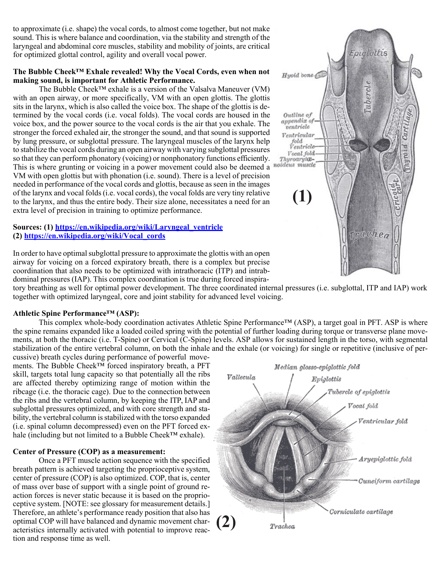to approximate (i.e. shape) the vocal cords, to almost come together, but not make sound. This is where balance and coordination, via the stability and strength of the laryngeal and abdominal core muscles, stability and mobility of joints, are critical for optimized glottal control, agility and overall vocal power.

## **The Bubble Cheek™ Exhale revealed! Why the Vocal Cords, even when not making sound, is important for Athletic Performance.**

The Bubble Cheek™ exhale is a version of the Valsalva Maneuver (VM) with an open airway, or more specifically, VM with an open glottis. The glottis sits in the larynx, which is also called the voice box. The shape of the glottis is determined by the vocal cords (i.e. vocal folds). The vocal cords are housed in the voice box, and the power source to the vocal cords is the air that you exhale. The stronger the forced exhaled air, the stronger the sound, and that sound is supported by lung pressure, or subglottal pressure. The laryngeal muscles of the larynx help to stabilize the vocal cords during an open airway with varying subglottal pressures so that they can perform phonatory (voicing) or nonphonatory functions efficiently. This is where grunting or voicing in a power movement could also be deemed a VM with open glottis but with phonation (i.e. sound). There is a level of precision needed in performance of the vocal cords and glottis, because asseen in the images of the larynx and vocal folds(i.e. vocal cords), the vocal folds are very tiny relative to the larynx, and thus the entire body. Their size alone, necessitates a need for an extra level of precision in training to optimize performance.

# **Sources: (1) https://en.wikipedia.org/wiki/Laryngeal\_ventricle (2) https://en.wikipedia.org/wiki/Vocal\_cords**

In order to have optimal subglottal pressure to approximate the glottis with an open airway for voicing on a forced expiratory breath, there is a complex but precise coordination that also needs to be optimized with intrathoracic (ITP) and intrabdominal pressures (IAP). This complex coordination is true during forced inspira-

tory breathing as well for optimal power development. The three coordinated internal pressures (i.e. subglottal, ITP and IAP) work together with optimized laryngeal, core and joint stability for advanced level voicing.

# **Athletic Spine Performance™ (ASP):**

This complex whole-body coordination activates Athletic Spine Performance™ (ASP), a target goal in PFT. ASP is where the spine remains expanded like a loaded coiled spring with the potential of further loading during torque or transverse plane movements, at both the thoracic (i.e. T-Spine) or Cervical (C-Spine) levels. ASP allows for sustained length in the torso, with segmental stabilization of the entire vertebral column, on both the inhale and the exhale (or voicing) for single or repetitive (inclusive of per-

cussive) breath cycles during performance of powerful movements. The Bubble Cheek™ forced inspiratory breath, a PFT skill, targets total lung capacity so that potentially all the ribs are affected thereby optimizing range of motion within the ribcage (i.e. the thoracic cage). Due to the connection between the ribs and the vertebral column, by keeping the ITP, IAP and subglottal pressures optimized, and with core strength and stability, the vertebral column is stabilized with the torso expanded (i.e. spinal column decompressed) even on the PFT forced exhale (including but not limited to a Bubble Cheek™ exhale).

# **Center of Pressure (COP) as a measurement:**

Once a PFT muscle action sequence with the specified breath pattern is achieved targeting the proprioceptive system, center of pressure (COP) is also optimized. COP, that is, center of mass over base of support with a single point of ground reaction forces is never static because it is based on the proprioceptive system. [NOTE: see glossary for measurement details.] Therefore, an athlete's performance ready position that also has optimal COP will have balanced and dynamic movement characteristics internally activated with potential to improve reaction and response time as well.



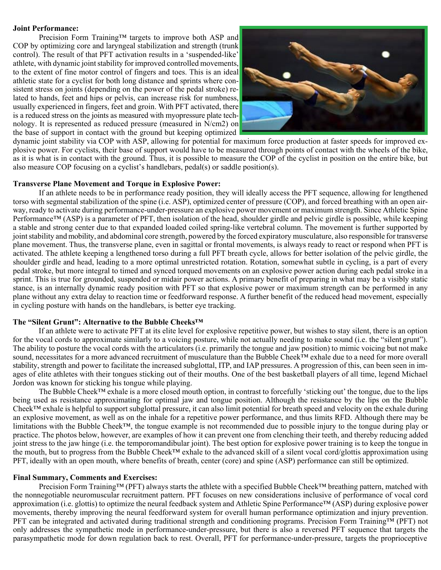#### **Joint Performance:**

Precision Form Training™ targets to improve both ASP and COP by optimizing core and laryngeal stabilization and strength (trunk control). The result of that PFT activation results in a 'suspended-like' athlete, with dynamic joint stability for improved controlled movements, to the extent of fine motor control of fingers and toes. This is an ideal athletic state for a cyclist for both long distance and sprints where consistent stress on joints (depending on the power of the pedal stroke) related to hands, feet and hips or pelvis, can increase risk for numbness, usually experienced in fingers, feet and groin. With PFT activated, there is a reduced stress on the joints as measured with myopressure plate technology. It is represented as reduced pressure (measured in N/cm2) on the base of support in contact with the ground but keeping optimized



dynamic joint stability via COP with ASP, allowing for potential for maximum force production at faster speeds for improved explosive power. For cyclists, their base of support would have to be measured through points of contact with the wheels of the bike, as it is what is in contact with the ground. Thus, it is possible to measure the COP of the cyclist in position on the entire bike, but also measure COP focusing on a cyclist's handlebars, pedal(s) or saddle position(s).

#### **Transverse Plane Movement and Torque in Explosive Power:**

If an athlete needs to be in performance ready position, they will ideally access the PFT sequence, allowing for lengthened torso with segmental stabilization of the spine (i.e. ASP), optimized center of pressure (COP), and forced breathing with an open airway, ready to activate during performance-under-pressure an explosive power movement or maximum strength. Since Athletic Spine Performance<sup>™</sup> (ASP) is a parameter of PFT, then isolation of the head, shoulder girdle and pelvic girdle is possible, while keeping a stable and strong center due to that expanded loaded coiled spring-like vertebral column. The movement is further supported by joint stability and mobility, and abdominal core strength, powered by the forced expiratory musculature, also responsible for transverse plane movement. Thus, the transverse plane, even in sagittal or frontal movements, is always ready to react or respond when PFT is activated. The athlete keeping a lengthened torso during a full PFT breath cycle, allows for better isolation of the pelvic girdle, the shoulder girdle and head, leading to a more optimal unrestricted rotation. Rotation, somewhat subtle in cycling, is a part of every pedal stroke, but more integral to timed and synced torqued movements on an explosive power action during each pedal stroke in a sprint. This is true for grounded, suspended or midair power actions. A primary benefit of preparing in what may be a visibly static stance, is an internally dynamic ready position with PFT so that explosive power or maximum strength can be performed in any plane without any extra delay to reaction time or feedforward response. A further benefit of the reduced head movement, especially in cycling posture with hands on the handlebars, is better eye tracking.

#### **The "Silent Grunt": Alternative to the Bubble Cheeks™**

If an athlete were to activate PFT at its elite level for explosive repetitive power, but wishes to stay silent, there is an option for the vocal cords to approximate similarly to a voicing posture, while not actually needing to make sound (i.e. the "silent grunt"). The ability to posture the vocal cords with the articulators (i.e. primarily the tongue and jaw position) to mimic voicing but not make sound, necessitates for a more advanced recruitment of musculature than the Bubble Cheek™ exhale due to a need for more overall stability, strength and power to facilitate the increased subglottal, ITP, and IAP pressures. A progression of this, can been seen in images of elite athletes with their tongues sticking out of their mouths. One of the best basketball players of all time, legend Michael Jordon was known for sticking his tongue while playing.

The Bubble Cheek™ exhale is a more closed mouth option, in contrast to forcefully 'sticking out' the tongue, due to the lips being used as resistance approximating for optimal jaw and tongue position. Although the resistance by the lips on the Bubble Cheek™ exhale is helpful to support subglottal pressure, it can also limit potential for breath speed and velocity on the exhale during an explosive movement, as well as on the inhale for a repetitive power performance, and thus limits RFD. Although there may be limitations with the Bubble Cheek™, the tongue example is not recommended due to possible injury to the tongue during play or practice. The photos below, however, are examples of how it can prevent one from clenching their teeth, and thereby reducing added joint stress to the jaw hinge (i.e. the temporomandibular joint). The best option for explosive power training is to keep the tongue in the mouth, but to progress from the Bubble Cheek™ exhale to the advanced skill of a silent vocal cord/glottis approximation using PFT, ideally with an open mouth, where benefits of breath, center (core) and spine (ASP) performance can still be optimized.

#### **Final Summary, Comments and Exercises:**

Precision Form Training™ (PFT) always starts the athlete with a specified Bubble Cheek™ breathing pattern, matched with the nonnegotiable neuromuscular recruitment pattern. PFT focuses on new considerations inclusive of performance of vocal cord approximation (i.e. glottis) to optimize the neural feedback system and Athletic Spine Performance™ (ASP) during explosive power movements, thereby improving the neural feedforward system for overall human performance optimization and injury prevention. PFT can be integrated and activated during traditional strength and conditioning programs. Precision Form Training™ (PFT) not only addresses the sympathetic mode in performance-under-pressure, but there is also a reversed PFT sequence that targets the parasympathetic mode for down regulation back to rest. Overall, PFT for performance-under-pressure, targets the proprioceptive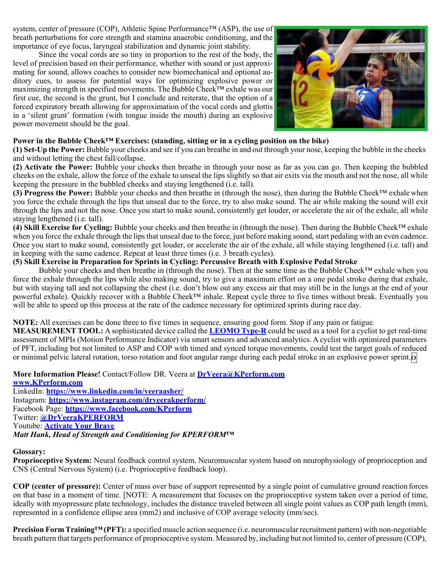system, center of pressure (COP), Athletic Spine Performance™ (ASP), the use of breath perturbations for core strength and stamina anaerobic conditioning, and the importance of eye focus, laryngeal stabilization and dynamic joint stability.

Since the vocal cords are so tiny in proportion to the rest of the body, the level of precision based on their performance, whether with sound or just approximating for sound, allows coaches to consider new biomechanical and optional auditory cues, to assess for potential ways for optimizing explosive power or maximizing strength in specified movements. The Bubble Cheek™ exhale was our first cue, the second is the grunt, but I conclude and reiterate, that the option of a forced expiratory breath allowing for approximation of the vocal cords and glottis in a 'silent grunt' formation (with tongue inside the mouth) during an explosive power movement should be the goal.



# **Power in the Bubble Cheek™ Exercises: (standing, sitting or in a cycling position on the bike)**

**(1) Set-Up the Power:** Bubble your cheeks and see if you can breathe in and out through your nose, keeping the bubble in the cheeks and without letting the chest fall/collapse.

**(2) Activate the Power:** Bubble your cheeks then breathe in through your nose as far as you can go. Then keeping the bubbled cheeks on the exhale, allow the force of the exhale to unseal the lips slightly so that air exits via the mouth and not the nose, all while keeping the pressure in the bubbled cheeks and staying lengthened (i.e. tall).

**(3) Progress the Power:** Bubble your cheeks and then breathe in (through the nose), then during the Bubble Cheek™ exhale when you force the exhale through the lips that unseal due to the force, try to also make sound. The air while making the sound will exit through the lips and not the nose. Once you start to make sound, consistently get louder, or accelerate the air of the exhale, all while staying lengthened (i.e. tall).

**(4) Skill Exercise for Cycling:** Bubble your cheeks and then breathe in (through the nose). Then during the Bubble Cheek™ exhale when you force the exhale through the lips that unseal due to the force, just before making sound, start pedaling with an even cadence. Once you start to make sound, consistently get louder, or accelerate the air of the exhale, all while staying lengthened (i.e. tall) and in keeping with the same cadence. Repeat at least three times (i.e. 3 breath cycles).

# **(5) Skill Exercise in Preparation for Sprints in Cycling: Percussive Breath with Explosive Pedal Stroke**

Bubble your cheeks and then breathe in (through the nose). Then at the same time as the Bubble Cheek™ exhale when you force the exhale through the lips while also making sound, try to give a maximum effort on a one pedal stroke during that exhale, but with staying tall and not collapsing the chest (i.e. don't blow out any excess air that may still be in the lungs at the end of your powerful exhale). Quickly recover with a Bubble Cheek™ inhale. Repeat cycle three to five times without break. Eventually you will be able to speed up this process at the rate of the cadence necessary for optimized sprints during race day.

**NOTE:** All exercises can be done three to five times in sequence, ensuring good form. Stop if any pain or fatigue.

**MEASUREMENT TOOL:** A sophisticated device called the **[LEOMO](https://www.leomo.io/blogs/news/tagged/english) Type-R** could be used as a tool for a cyclist to get real-time assessment of MPIs (Motion Performance Indicator) via smart sensors and advanced analytics. A cyclist with optimized parameters of PFT, including but not limited to ASP and COP with timed and synced torque movements, could test the target goals of reduced or minimal pelvic lateral rotation, torso rotation and foot angular range during each pedal stroke in an explosive power sprint.**O**

# **More Information Please!** Contact/Follow DR. Veera at **[DrV](mailto:DrVeera@KPerform.com)[eera@KPerform.com](mailto:eera@KPerform.com)**

**[www.KPerform.com](http://www.kperform.com/)** LinkedIn: **[https://www.linkedin.com/in/veeraasher/](http://www.linkedin.com/in/veeraasher/)** Instagram: **[https://www.instagram.com/drveerakperform/](http://www.instagram.com/drveerakperform/)** Facebook Page: **[https://www.facebook.com/KPerform](http://www.facebook.com/KPerform)** Twitter: **[@DrVeeraKPERFORM](https://twitter.com/DrVeeraKPERFORM)** Youtube: **[Activate Your Brave](https://www.youtube.com/channel/UC-gxsayPOagYp_4IHf_ymTg?view_as=subscriber)** *Matt Hank, Head of Strength and Conditioning for KPERFORM™*

# **Glossary:**

**Proprioceptive System:** Neural feedback control system. Neuromuscular system based on neurophysiology of proprioception and CNS (Central Nervous System) (i.e. Proprioceptive feedback loop).

**COP (center of pressure):** Center of mass over base of support represented by a single point of cumulative ground reaction forces on that base in a moment of time. [NOTE: A measurement that focuses on the proprioceptive system taken over a period of time, ideally with myopressure plate technology, includes the distance traveled between all single point values as COP path length (mm), represented in a confidence ellipse area (mm2) and inclusive of COP average velocity (mm/sec).

**Precision Form Training™(PFT):** a specified muscle action sequence (i.e. neuromuscular recruitment pattern) with non-negotiable breath pattern that targets performance of proprioceptive system. Measured by, including but not limited to, center of pressure (COP),